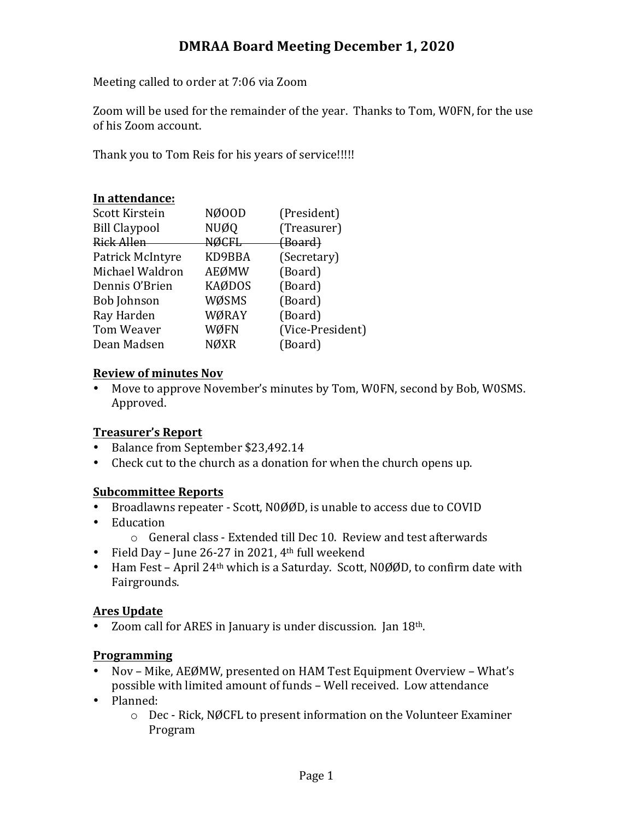## **DMRAA Board Meeting December 1, 2020**

Meeting called to order at 7:06 via Zoom

Zoom will be used for the remainder of the year. Thanks to Tom, W0FN, for the use of his Zoom account.

Thank you to Tom Reis for his years of service!!!!!

### **In attendance:**

| NØ00D<br>Scott Kirstein             | (President)        |
|-------------------------------------|--------------------|
| <b>NUØQ</b><br><b>Bill Claypool</b> | (Treasurer)        |
| <b>NØCFL</b><br><b>Rick Allen</b>   | <del>(Board)</del> |
| KD9BBA<br>Patrick McIntyre          | (Secretary)        |
| <b>AEØMW</b><br>Michael Waldron     | (Board)            |
| <b>KAØDOS</b><br>Dennis O'Brien     | (Board)            |
| WØSMS<br><b>Bob Johnson</b>         | (Board)            |
| WØRAY<br>Ray Harden                 | (Board)            |
| WØFN<br>Tom Weaver                  | (Vice-President)   |
| <b>NØXR</b><br>Dean Madsen          | (Board)            |

### **Review of minutes Nov**

• Move to approve November's minutes by Tom, W0FN, second by Bob, W0SMS. Approved.

## **Treasurer's Report**

- Balance from September \$23,492.14
- Check cut to the church as a donation for when the church opens up.

## **Subcommittee Reports**

- Broadlawns repeater Scott, N0ØØD, is unable to access due to COVID
- Education
	- o General class Extended till Dec 10. Review and test afterwards
- Field Day June 26-27 in 2021,  $4<sup>th</sup>$  full weekend
- Ham Fest April  $24<sup>th</sup>$  which is a Saturday. Scott, N0ØØD, to confirm date with Fairgrounds.

## **Ares Update**

• Zoom call for ARES in January is under discussion. Jan  $18<sup>th</sup>$ .

## **Programming**

- Nov Mike, AEØMW, presented on HAM Test Equipment Overview What's possible with limited amount of funds - Well received. Low attendance
- Planned:
	- $\circ$  Dec Rick, NØCFL to present information on the Volunteer Examiner Program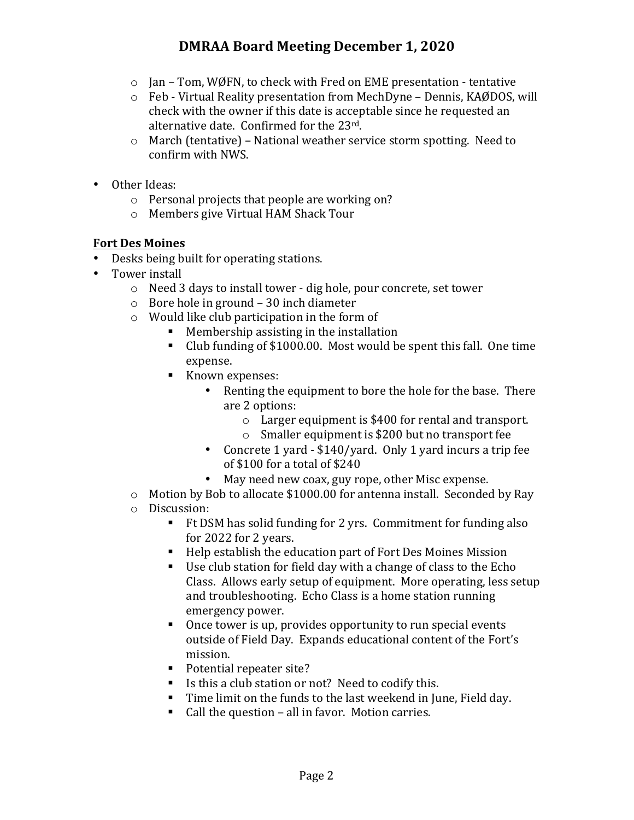# **DMRAA Board Meeting December 1, 2020**

- $\circ$  Jan Tom, WØFN, to check with Fred on EME presentation tentative
- $\circ$  Feb Virtual Reality presentation from MechDyne Dennis, KAØDOS, will check with the owner if this date is acceptable since he requested an alternative date. Confirmed for the  $23^{\text{rd}}$ .
- $\circ$  March (tentative) National weather service storm spotting. Need to confirm with NWS.
- Other Ideas:
	- $\circ$  Personal projects that people are working on?
	- $\circ$  Members give Virtual HAM Shack Tour

### **Fort Des Moines**

- Desks being built for operating stations.
- Tower install
	- $\circ$  Need 3 days to install tower dig hole, pour concrete, set tower
	- $\circ$  Bore hole in ground 30 inch diameter
	- $\circ$  Would like club participation in the form of
		- Membership assisting in the installation
		- Club funding of \$1000.00. Most would be spent this fall. One time expense.
		- Known expenses:
			- Renting the equipment to bore the hole for the base. There are 2 options:
				- $\circ$  Larger equipment is \$400 for rental and transport.
				- $\circ$  Smaller equipment is \$200 but no transport fee
			- Concrete 1 yard \$140/yard. Only 1 yard incurs a trip fee of \$100 for a total of \$240
			- May need new coax, guy rope, other Misc expense.
	- $\circ$  Motion by Bob to allocate \$1000.00 for antenna install. Seconded by Ray o Discussion:
		- Ft DSM has solid funding for 2 yrs. Commitment for funding also for 2022 for 2 years.
		- Help establish the education part of Fort Des Moines Mission
		- Use club station for field day with a change of class to the  $Echo$ Class. Allows early setup of equipment. More operating, less setup and troubleshooting. Echo Class is a home station running emergency power.
		- Once tower is up, provides opportunity to run special events outside of Field Day. Expands educational content of the Fort's mission.
		- Potential repeater site?
		- Is this a club station or not? Need to codify this.
		- $\blacksquare$  Time limit on the funds to the last weekend in June, Field day.
		- Call the question all in favor. Motion carries.